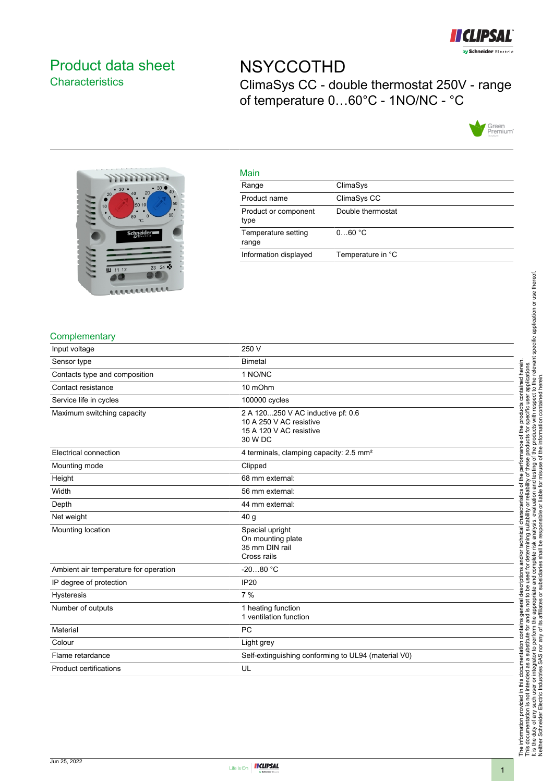

# <span id="page-0-0"></span>Product data sheet **Characteristics**

# **NSYCCOTHD** ClimaSys CC - double thermostat 250V - range of temperature 0…60°C - 1NO/NC - °C





#### Main

| ClimaSys          |
|-------------------|
| ClimaSys CC       |
| Double thermostat |
| 060 °C            |
| Temperature in °C |
|                   |

#### **Complementary**

| Input voltage                         | 250 V                                                                                              |
|---------------------------------------|----------------------------------------------------------------------------------------------------|
| Sensor type                           | <b>Bimetal</b>                                                                                     |
| Contacts type and composition         | 1 NO/NC                                                                                            |
| Contact resistance                    | 10 mOhm                                                                                            |
| Service life in cycles                | 100000 cycles                                                                                      |
| Maximum switching capacity            | 2 A 120250 V AC inductive pf: 0.6<br>10 A 250 V AC resistive<br>15 A 120 V AC resistive<br>30 W DC |
| Electrical connection                 | 4 terminals, clamping capacity: 2.5 mm <sup>2</sup>                                                |
| Mounting mode                         | Clipped                                                                                            |
| Height                                | 68 mm external:                                                                                    |
| Width                                 | 56 mm external:                                                                                    |
| Depth                                 | 44 mm external:                                                                                    |
| Net weight                            | 40 <sub>q</sub>                                                                                    |
| Mounting location                     | Spacial upright<br>On mounting plate<br>35 mm DIN rail<br>Cross rails                              |
| Ambient air temperature for operation | $-2080 °C$                                                                                         |
| IP degree of protection               | <b>IP20</b>                                                                                        |
| <b>Hysteresis</b>                     | 7%                                                                                                 |
| Number of outputs                     | 1 heating function<br>1 ventilation function                                                       |
| Material                              | <b>PC</b>                                                                                          |
| Colour                                | Light grey                                                                                         |
| Flame retardance                      | Self-extinguishing conforming to UL94 (material V0)                                                |
| <b>Product certifications</b>         | UL                                                                                                 |